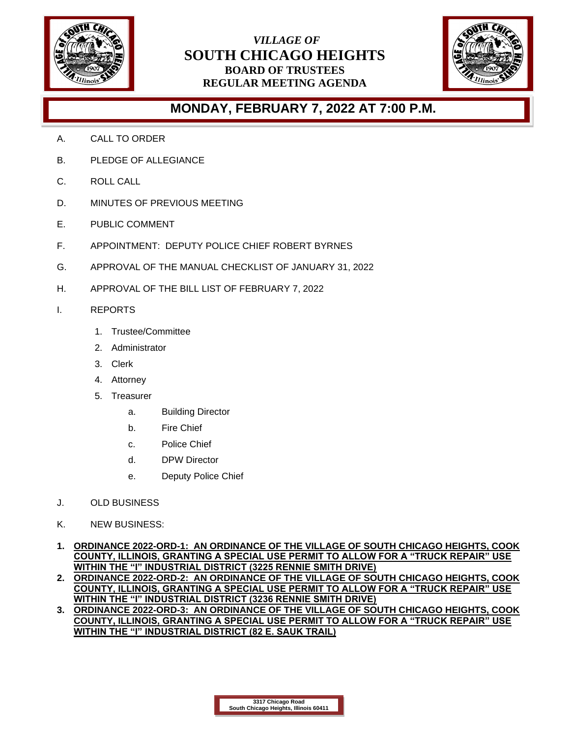

## *VILLAGE OF* **SOUTH CHICAGO HEIGHTS BOARD OF TRUSTEES REGULAR MEETING AGENDA**



## **MONDAY, FEBRUARY 7, 2022 AT 7:00 P.M.**

- A. CALL TO ORDER
- B. PLEDGE OF ALLEGIANCE
- C. ROLL CALL
- D. MINUTES OF PREVIOUS MEETING
- E. PUBLIC COMMENT
- F. APPOINTMENT: DEPUTY POLICE CHIEF ROBERT BYRNES
- G. APPROVAL OF THE MANUAL CHECKLIST OF JANUARY 31, 2022
- H. APPROVAL OF THE BILL LIST OF FEBRUARY 7, 2022
- I. REPORTS
	- 1. Trustee/Committee
	- 2. Administrator
	- 3. Clerk
	- 4. Attorney
	- 5. Treasurer
		- a. Building Director
		- b. Fire Chief
		- c. Police Chief
		- d. DPW Director
		- e. Deputy Police Chief
- J. OLD BUSINESS
- K. NEW BUSINESS:
- **1. ORDINANCE 2022-ORD-1: AN ORDINANCE OF THE VILLAGE OF SOUTH CHICAGO HEIGHTS, COOK COUNTY, ILLINOIS, GRANTING A SPECIAL USE PERMIT TO ALLOW FOR A "TRUCK REPAIR" USE WITHIN THE "I" INDUSTRIAL DISTRICT (3225 RENNIE SMITH DRIVE)**
- **2. ORDINANCE 2022-ORD-2: AN ORDINANCE OF THE VILLAGE OF SOUTH CHICAGO HEIGHTS, COOK COUNTY, ILLINOIS, GRANTING A SPECIAL USE PERMIT TO ALLOW FOR A "TRUCK REPAIR" USE WITHIN THE "I" INDUSTRIAL DISTRICT (3236 RENNIE SMITH DRIVE)**
- **3. ORDINANCE 2022-ORD-3: AN ORDINANCE OF THE VILLAGE OF SOUTH CHICAGO HEIGHTS, COOK COUNTY, ILLINOIS, GRANTING A SPECIAL USE PERMIT TO ALLOW FOR A "TRUCK REPAIR" USE WITHIN THE "I" INDUSTRIAL DISTRICT (82 E. SAUK TRAIL)**